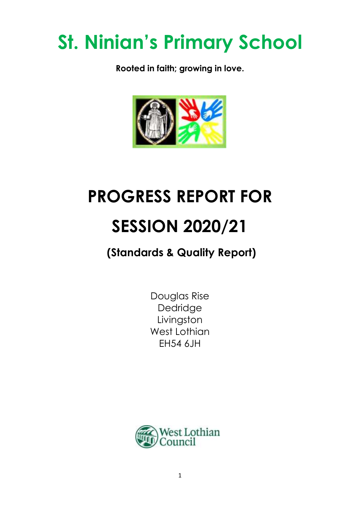# **St. Ninian's Primary School**

**Rooted in faith; growing in love.**



## **PROGRESS REPORT FOR**

## **SESSION 2020/21**

### **(Standards & Quality Report)**

Douglas Rise Dedridge Livingston West Lothian EH54 6JH

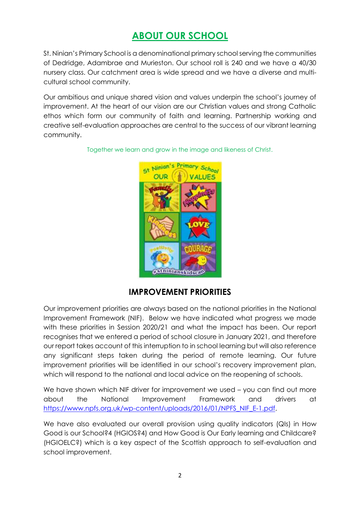### **ABOUT OUR SCHOOL**

St. Ninian's Primary School is a denominational primary school serving the communities of Dedridge, Adambrae and Murieston. Our school roll is 240 and we have a 40/30 nursery class. Our catchment area is wide spread and we have a diverse and multicultural school community.

Our ambitious and unique shared vision and values underpin the school's journey of improvement. At the heart of our vision are our Christian values and strong Catholic ethos which form our community of faith and learning. Partnership working and creative self-evaluation approaches are central to the success of our vibrant learning community.



Together we learn and grow in the image and likeness of Christ.

#### **IMPROVEMENT PRIORITIES**

Our improvement priorities are always based on the national priorities in the National Improvement Framework (NIF). Below we have indicated what progress we made with these priorities in Session 2020/21 and what the impact has been. Our report recognises that we entered a period of school closure in January 2021, and therefore our report takes account of this interruption to in school learning but will also reference any significant steps taken during the period of remote learning. Our future improvement priorities will be identified in our school's recovery improvement plan, which will respond to the national and local advice on the reopening of schools.

We have shown which NIF driver for improvement we used – you can find out more about the National Improvement Framework and drivers at [https://www.npfs.org.uk/wp-content/uploads/2016/01/NPFS\\_NIF\\_E-1.pdf.](https://www.npfs.org.uk/wp-content/uploads/2016/01/NPFS_NIF_E-1.pdf)

We have also evaluated our overall provision using quality indicators (QIs) in How Good is our School?4 (HGIOS?4) and How Good is Our Early learning and Childcare? (HGIOELC?) which is a key aspect of the Scottish approach to self-evaluation and school improvement.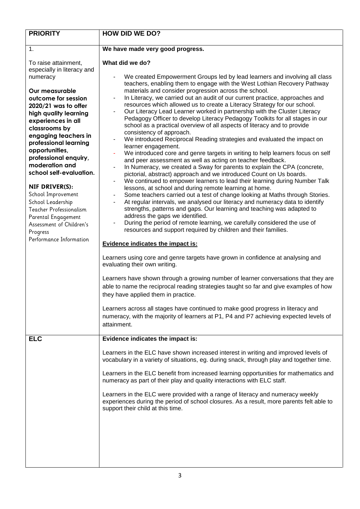| <b>PRIORITY</b>                                                                                                                                                                                                                                                                                                                                                                                                                                                                                                              | <b>HOW DID WE DO?</b>                                                                                                                                                                                                                                                                                                                                                                                                                                                                                                                                                                                                                                                                                                                                                                                                                                                                                                                                                                                                                                                                                                                                                                                                                                                                                                                                                                                                                                                                                                                                                                                                                                                                                                         |  |
|------------------------------------------------------------------------------------------------------------------------------------------------------------------------------------------------------------------------------------------------------------------------------------------------------------------------------------------------------------------------------------------------------------------------------------------------------------------------------------------------------------------------------|-------------------------------------------------------------------------------------------------------------------------------------------------------------------------------------------------------------------------------------------------------------------------------------------------------------------------------------------------------------------------------------------------------------------------------------------------------------------------------------------------------------------------------------------------------------------------------------------------------------------------------------------------------------------------------------------------------------------------------------------------------------------------------------------------------------------------------------------------------------------------------------------------------------------------------------------------------------------------------------------------------------------------------------------------------------------------------------------------------------------------------------------------------------------------------------------------------------------------------------------------------------------------------------------------------------------------------------------------------------------------------------------------------------------------------------------------------------------------------------------------------------------------------------------------------------------------------------------------------------------------------------------------------------------------------------------------------------------------------|--|
| 1.                                                                                                                                                                                                                                                                                                                                                                                                                                                                                                                           | We have made very good progress.                                                                                                                                                                                                                                                                                                                                                                                                                                                                                                                                                                                                                                                                                                                                                                                                                                                                                                                                                                                                                                                                                                                                                                                                                                                                                                                                                                                                                                                                                                                                                                                                                                                                                              |  |
| To raise attainment,<br>especially in literacy and<br>numeracy<br>Our measurable<br>outcome for session<br>$2020/21$ was to offer<br>high quality learning<br>experiences in all<br>classrooms by<br>engaging teachers in<br>professional learning<br>opportunities,<br>professional enquiry,<br>moderation and<br>school self-evaluation.<br>NIF DRIVER(S):<br>School Improvement<br>School Leadership<br>Teacher Professionalism<br>Parental Engagement<br>Assessment of Children's<br>Progress<br>Performance Information | What did we do?<br>We created Empowerment Groups led by lead learners and involving all class<br>teachers, enabling them to engage with the West Lothian Recovery Pathway<br>materials and consider progression across the school.<br>In Literacy, we carried out an audit of our current practice, approaches and<br>$\overline{\phantom{a}}$<br>resources which allowed us to create a Literacy Strategy for our school.<br>Our Literacy Lead Learner worked in partnership with the Cluster Literacy<br>Pedagogy Officer to develop Literacy Pedagogy Toolkits for all stages in our<br>school as a practical overview of all aspects of literacy and to provide<br>consistency of approach.<br>We introduced Reciprocal Reading strategies and evaluated the impact on<br>learner engagement.<br>We introduced core and genre targets in writing to help learners focus on self<br>and peer assessment as well as acting on teacher feedback.<br>In Numeracy, we created a Sway for parents to explain the CPA (concrete,<br>pictorial, abstract) approach and we introduced Count on Us boards.<br>We continued to empower learners to lead their learning during Number Talk<br>۰<br>lessons, at school and during remote learning at home.<br>Some teachers carried out a test of change looking at Maths through Stories.<br>۰<br>At regular intervals, we analysed our literacy and numeracy data to identify<br>strengths, patterns and gaps. Our learning and teaching was adapted to<br>address the gaps we identified.<br>During the period of remote learning, we carefully considered the use of<br>resources and support required by children and their families.<br><b>Evidence indicates the impact is:</b> |  |
|                                                                                                                                                                                                                                                                                                                                                                                                                                                                                                                              | Learners using core and genre targets have grown in confidence at analysing and<br>evaluating their own writing.<br>Learners have shown through a growing number of learner conversations that they are<br>able to name the reciprocal reading strategies taught so far and give examples of how<br>they have applied them in practice.<br>Learners across all stages have continued to make good progress in literacy and<br>numeracy, with the majority of learners at P1, P4 and P7 achieving expected levels of<br>attainment.                                                                                                                                                                                                                                                                                                                                                                                                                                                                                                                                                                                                                                                                                                                                                                                                                                                                                                                                                                                                                                                                                                                                                                                            |  |
| <b>ELC</b>                                                                                                                                                                                                                                                                                                                                                                                                                                                                                                                   | Evidence indicates the impact is:                                                                                                                                                                                                                                                                                                                                                                                                                                                                                                                                                                                                                                                                                                                                                                                                                                                                                                                                                                                                                                                                                                                                                                                                                                                                                                                                                                                                                                                                                                                                                                                                                                                                                             |  |
|                                                                                                                                                                                                                                                                                                                                                                                                                                                                                                                              | Learners in the ELC have shown increased interest in writing and improved levels of<br>vocabulary in a variety of situations, eg. during snack, through play and together time.<br>Learners in the ELC benefit from increased learning opportunities for mathematics and<br>numeracy as part of their play and quality interactions with ELC staff.<br>Learners in the ELC were provided with a range of literacy and numeracy weekly<br>experiences during the period of school closures. As a result, more parents felt able to<br>support their child at this time.                                                                                                                                                                                                                                                                                                                                                                                                                                                                                                                                                                                                                                                                                                                                                                                                                                                                                                                                                                                                                                                                                                                                                        |  |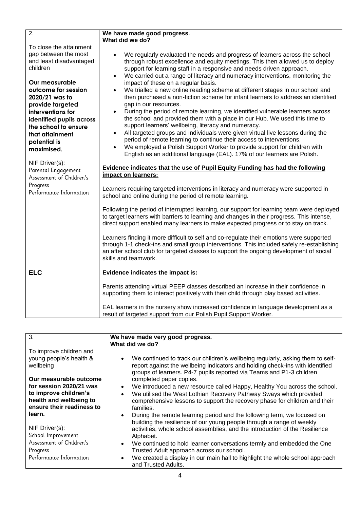| $\overline{2}$ .                                                                                                                                                                                                                                                                                | We have made good progress.                                                                                                                                                                                                                                                                                                                                                                                                                                                                                                                                                                                                                                                                                                                                                                                                                                                                                                                                                                                                                                                                                       |  |
|-------------------------------------------------------------------------------------------------------------------------------------------------------------------------------------------------------------------------------------------------------------------------------------------------|-------------------------------------------------------------------------------------------------------------------------------------------------------------------------------------------------------------------------------------------------------------------------------------------------------------------------------------------------------------------------------------------------------------------------------------------------------------------------------------------------------------------------------------------------------------------------------------------------------------------------------------------------------------------------------------------------------------------------------------------------------------------------------------------------------------------------------------------------------------------------------------------------------------------------------------------------------------------------------------------------------------------------------------------------------------------------------------------------------------------|--|
|                                                                                                                                                                                                                                                                                                 | What did we do?                                                                                                                                                                                                                                                                                                                                                                                                                                                                                                                                                                                                                                                                                                                                                                                                                                                                                                                                                                                                                                                                                                   |  |
| To close the attainment<br>gap between the most<br>and least disadvantaged<br>children<br>Our measurable<br>outcome for session<br>2020/21 was to<br>provide targeted<br>interventions for<br>identified pupils across<br>the school to ensure<br>that attainment<br>potential is<br>maximised. | We regularly evaluated the needs and progress of learners across the school<br>through robust excellence and equity meetings. This then allowed us to deploy<br>support for learning staff in a responsive and needs driven approach.<br>We carried out a range of literacy and numeracy interventions, monitoring the<br>$\bullet$<br>impact of these on a regular basis.<br>We trialled a new online reading scheme at different stages in our school and<br>then purchased a non-fiction scheme for infant learners to address an identified<br>gap in our resources.<br>During the period of remote learning, we identified vulnerable learners across<br>the school and provided them with a place in our Hub. We used this time to<br>support learners' wellbeing, literacy and numeracy.<br>All targeted groups and individuals were given virtual live lessons during the<br>period of remote learning to continue their access to interventions.<br>We employed a Polish Support Worker to provide support for children with<br>English as an additional language (EAL). 17% of our learners are Polish. |  |
| NIF Driver(s):<br>Parental Engagement<br>Assessment of Children's                                                                                                                                                                                                                               | <b>Evidence indicates that the use of Pupil Equity Funding has had the following</b><br>impact on learners:                                                                                                                                                                                                                                                                                                                                                                                                                                                                                                                                                                                                                                                                                                                                                                                                                                                                                                                                                                                                       |  |
| Progress<br>Performance Information                                                                                                                                                                                                                                                             | Learners requiring targeted interventions in literacy and numeracy were supported in<br>school and online during the period of remote learning.                                                                                                                                                                                                                                                                                                                                                                                                                                                                                                                                                                                                                                                                                                                                                                                                                                                                                                                                                                   |  |
|                                                                                                                                                                                                                                                                                                 | Following the period of interrupted learning, our support for learning team were deployed<br>to target learners with barriers to learning and changes in their progress. This intense,<br>direct support enabled many learners to make expected progress or to stay on track.                                                                                                                                                                                                                                                                                                                                                                                                                                                                                                                                                                                                                                                                                                                                                                                                                                     |  |
|                                                                                                                                                                                                                                                                                                 | Learners finding it more difficult to self and co-regulate their emotions were supported<br>through 1-1 check-ins and small group interventions. This included safely re-establishing<br>an after school club for targeted classes to support the ongoing development of social<br>skills and teamwork.                                                                                                                                                                                                                                                                                                                                                                                                                                                                                                                                                                                                                                                                                                                                                                                                           |  |
| <b>ELC</b>                                                                                                                                                                                                                                                                                      | Evidence indicates the impact is:                                                                                                                                                                                                                                                                                                                                                                                                                                                                                                                                                                                                                                                                                                                                                                                                                                                                                                                                                                                                                                                                                 |  |
|                                                                                                                                                                                                                                                                                                 | Parents attending virtual PEEP classes described an increase in their confidence in<br>supporting them to interact positively with their child through play based activities.                                                                                                                                                                                                                                                                                                                                                                                                                                                                                                                                                                                                                                                                                                                                                                                                                                                                                                                                     |  |
|                                                                                                                                                                                                                                                                                                 | EAL learners in the nursery show increased confidence in language development as a<br>result of targeted support from our Polish Pupil Support Worker.                                                                                                                                                                                                                                                                                                                                                                                                                                                                                                                                                                                                                                                                                                                                                                                                                                                                                                                                                            |  |

| 3.                                                                                                                                 | We have made very good progress.                                                                                                                                                                                                                                                                                                                                                                                                                                                                                  |  |
|------------------------------------------------------------------------------------------------------------------------------------|-------------------------------------------------------------------------------------------------------------------------------------------------------------------------------------------------------------------------------------------------------------------------------------------------------------------------------------------------------------------------------------------------------------------------------------------------------------------------------------------------------------------|--|
|                                                                                                                                    | What did we do?                                                                                                                                                                                                                                                                                                                                                                                                                                                                                                   |  |
| To improve children and<br>young people's health &<br>wellbeing                                                                    | We continued to track our children's wellbeing regularly, asking them to self-<br>$\bullet$<br>report against the wellbeing indicators and holding check-ins with identified<br>groups of learners. P4-7 pupils reported via Teams and P1-3 children                                                                                                                                                                                                                                                              |  |
| Our measurable outcome<br>for session 2020/21 was<br>to improve children's<br>health and wellbeing to<br>ensure their readiness to | completed paper copies.<br>We introduced a new resource called Happy, Healthy You across the school.<br>$\bullet$<br>We utilised the West Lothian Recovery Pathway Sways which provided<br>$\bullet$<br>comprehensive lessons to support the recovery phase for children and their<br>families.                                                                                                                                                                                                                   |  |
| learn.<br>NIF Driver(s):<br>School Improvement<br>Assessment of Children's<br>Progress<br>Performance Information                  | During the remote learning period and the following term, we focused on<br>$\bullet$<br>building the resilience of our young people through a range of weekly<br>activities, whole school assemblies, and the introduction of the Resilience<br>Alphabet.<br>We continued to hold learner conversations termly and embedded the One<br>$\bullet$<br>Trusted Adult approach across our school.<br>We created a display in our main hall to highlight the whole school approach<br>$\bullet$<br>and Trusted Adults. |  |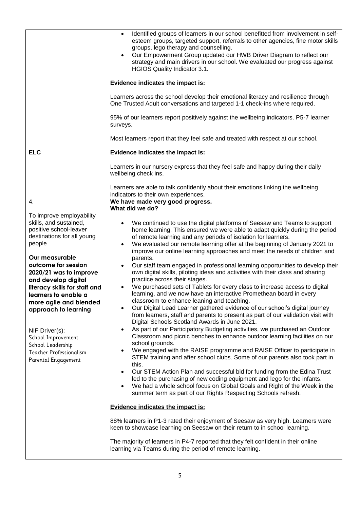|                                                                                                                                                                                                                                                                                                                                                                                                                                          | Identified groups of learners in our school benefitted from involvement in self-<br>$\bullet$<br>esteem groups, targeted support, referrals to other agencies, fine motor skills<br>groups, lego therapy and counselling.<br>Our Empowerment Group updated our HWB Driver Diagram to reflect our<br>strategy and main drivers in our school. We evaluated our progress against<br>HGIOS Quality Indicator 3.1.<br>Evidence indicates the impact is:<br>Learners across the school develop their emotional literacy and resilience through<br>One Trusted Adult conversations and targeted 1-1 check-ins where required.<br>95% of our learners report positively against the wellbeing indicators. P5-7 learner<br>surveys.<br>Most learners report that they feel safe and treated with respect at our school.                                                                                                                                                                                                                                                                                                                                                                                                                                                                                                                                                                                                                                                                                                                                                                                                                                                                                                        |  |
|------------------------------------------------------------------------------------------------------------------------------------------------------------------------------------------------------------------------------------------------------------------------------------------------------------------------------------------------------------------------------------------------------------------------------------------|------------------------------------------------------------------------------------------------------------------------------------------------------------------------------------------------------------------------------------------------------------------------------------------------------------------------------------------------------------------------------------------------------------------------------------------------------------------------------------------------------------------------------------------------------------------------------------------------------------------------------------------------------------------------------------------------------------------------------------------------------------------------------------------------------------------------------------------------------------------------------------------------------------------------------------------------------------------------------------------------------------------------------------------------------------------------------------------------------------------------------------------------------------------------------------------------------------------------------------------------------------------------------------------------------------------------------------------------------------------------------------------------------------------------------------------------------------------------------------------------------------------------------------------------------------------------------------------------------------------------------------------------------------------------------------------------------------------------|--|
| <b>ELC</b>                                                                                                                                                                                                                                                                                                                                                                                                                               | Evidence indicates the impact is:                                                                                                                                                                                                                                                                                                                                                                                                                                                                                                                                                                                                                                                                                                                                                                                                                                                                                                                                                                                                                                                                                                                                                                                                                                                                                                                                                                                                                                                                                                                                                                                                                                                                                      |  |
|                                                                                                                                                                                                                                                                                                                                                                                                                                          | Learners in our nursery express that they feel safe and happy during their daily<br>wellbeing check ins.                                                                                                                                                                                                                                                                                                                                                                                                                                                                                                                                                                                                                                                                                                                                                                                                                                                                                                                                                                                                                                                                                                                                                                                                                                                                                                                                                                                                                                                                                                                                                                                                               |  |
|                                                                                                                                                                                                                                                                                                                                                                                                                                          | Learners are able to talk confidently about their emotions linking the wellbeing<br>indicators to their own experiences.                                                                                                                                                                                                                                                                                                                                                                                                                                                                                                                                                                                                                                                                                                                                                                                                                                                                                                                                                                                                                                                                                                                                                                                                                                                                                                                                                                                                                                                                                                                                                                                               |  |
| 4.                                                                                                                                                                                                                                                                                                                                                                                                                                       | We have made very good progress.<br>What did we do?                                                                                                                                                                                                                                                                                                                                                                                                                                                                                                                                                                                                                                                                                                                                                                                                                                                                                                                                                                                                                                                                                                                                                                                                                                                                                                                                                                                                                                                                                                                                                                                                                                                                    |  |
| To improve employability<br>skills, and sustained,<br>positive school-leaver<br>destinations for all young<br>people<br>Our measurable<br>outcome for session<br>2020/21 was to improve<br>and develop digital<br>literacy skills for staff and<br>learners to enable a<br>more agile and blended<br>approach to learning<br>NIF Driver(s):<br>School Improvement<br>School Leadership<br>Teacher Professionalism<br>Parental Engagement | We continued to use the digital platforms of Seesaw and Teams to support<br>home learning. This ensured we were able to adapt quickly during the period<br>of remote learning and any periods of isolation for learners.<br>We evaluated our remote learning offer at the beginning of January 2021 to<br>$\bullet$<br>improve our online learning approaches and meet the needs of children and<br>parents.<br>Our staff team engaged in professional learning opportunities to develop their<br>$\bullet$<br>own digital skills, piloting ideas and activities with their class and sharing<br>practice across their stages.<br>We purchased sets of Tablets for every class to increase access to digital<br>learning, and we now have an interactive Promethean board in every<br>classroom to enhance leaning and teaching.<br>Our Digital Lead Learner gathered evidence of our school's digital journey<br>from learners, staff and parents to present as part of our validation visit with<br>Digital Schools Scotland Awards in June 2021.<br>As part of our Participatory Budgeting activities, we purchased an Outdoor<br>Classroom and picnic benches to enhance outdoor learning facilities on our<br>school grounds.<br>We engaged with the RAISE programme and RAISE Officer to participate in<br>STEM training and after school clubs. Some of our parents also took part in<br>this.<br>Our STEM Action Plan and successful bid for funding from the Edina Trust<br>led to the purchasing of new coding equipment and lego for the infants.<br>We had a whole school focus on Global Goals and Right of the Week in the<br>$\bullet$<br>summer term as part of our Rights Respecting Schools refresh. |  |
|                                                                                                                                                                                                                                                                                                                                                                                                                                          | <b>Evidence indicates the impact is:</b>                                                                                                                                                                                                                                                                                                                                                                                                                                                                                                                                                                                                                                                                                                                                                                                                                                                                                                                                                                                                                                                                                                                                                                                                                                                                                                                                                                                                                                                                                                                                                                                                                                                                               |  |
|                                                                                                                                                                                                                                                                                                                                                                                                                                          | 88% learners in P1-3 rated their enjoyment of Seesaw as very high. Learners were<br>keen to showcase learning on Seesaw on their return to in school learning.                                                                                                                                                                                                                                                                                                                                                                                                                                                                                                                                                                                                                                                                                                                                                                                                                                                                                                                                                                                                                                                                                                                                                                                                                                                                                                                                                                                                                                                                                                                                                         |  |
|                                                                                                                                                                                                                                                                                                                                                                                                                                          | The majority of learners in P4-7 reported that they felt confident in their online<br>learning via Teams during the period of remote learning.                                                                                                                                                                                                                                                                                                                                                                                                                                                                                                                                                                                                                                                                                                                                                                                                                                                                                                                                                                                                                                                                                                                                                                                                                                                                                                                                                                                                                                                                                                                                                                         |  |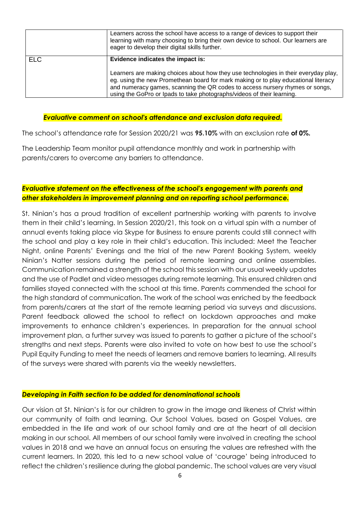|            | Learners across the school have access to a range of devices to support their<br>learning with many choosing to bring their own device to school. Our learners are<br>eager to develop their digital skills further.                                                                                                                |  |
|------------|-------------------------------------------------------------------------------------------------------------------------------------------------------------------------------------------------------------------------------------------------------------------------------------------------------------------------------------|--|
| <b>ELC</b> | Evidence indicates the impact is:                                                                                                                                                                                                                                                                                                   |  |
|            | Learners are making choices about how they use technologies in their everyday play,<br>eg. using the new Promethean board for mark making or to play educational literacy<br>and numeracy games, scanning the QR codes to access nursery rhymes or songs,<br>using the GoPro or Ipads to take photographs/videos of their learning. |  |

#### *Evaluative comment on school's attendance and exclusion data required.*

The school's attendance rate for Session 2020/21 was **95.10%** with an exclusion rate **of 0%.**

The Leadership Team monitor pupil attendance monthly and work in partnership with parents/carers to overcome any barriers to attendance.

#### *Evaluative statement on the effectiveness of the school's engagement with parents and other stakeholders in improvement planning and on reporting school performance.*

St. Ninian's has a proud tradition of excellent partnership working with parents to involve them in their child's learning. In Session 2020/21, this took on a virtual spin with a number of annual events taking place via Skype for Business to ensure parents could still connect with the school and play a key role in their child's education. This included: Meet the Teacher Night, online Parents' Evenings and the trial of the new Parent Booking System, weekly Ninian's Natter sessions during the period of remote learning and online assemblies. Communication remained a strength of the school this session with our usual weekly updates and the use of Padlet and video messages during remote learning. This ensured children and families stayed connected with the school at this time. Parents commended the school for the high standard of communication. The work of the school was enriched by the feedback from parents/carers at the start of the remote learning period via surveys and discussions. Parent feedback allowed the school to reflect on lockdown approaches and make improvements to enhance children's experiences. In preparation for the annual school improvement plan, a further survey was issued to parents to gather a picture of the school's strengths and next steps. Parents were also invited to vote on how best to use the school's Pupil Equity Funding to meet the needs of learners and remove barriers to learning. All results of the surveys were shared with parents via the weekly newsletters.

#### *Developing in Faith section to be added for denominational schools*

Our vision at St. Ninian's is for our children to grow in the image and likeness of Christ within our community of faith and learning. Our School Values, based on Gospel Values, are embedded in the life and work of our school family and are at the heart of all decision making in our school. All members of our school family were involved in creating the school values in 2018 and we have an annual focus on ensuring the values are refreshed with the current learners. In 2020, this led to a new school value of 'courage' being introduced to reflect the children's resilience during the global pandemic. The school values are very visual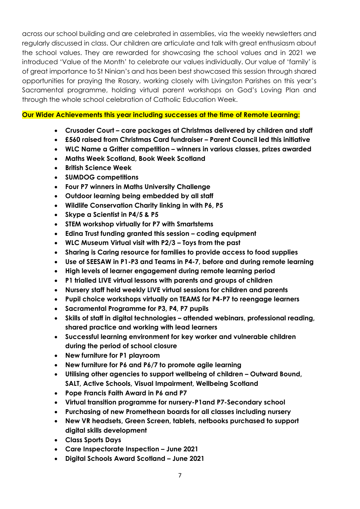across our school building and are celebrated in assemblies, via the weekly newsletters and regularly discussed in class. Our children are articulate and talk with great enthusiasm about the school values. They are rewarded for showcasing the school values and in 2021 we introduced 'Value of the Month' to celebrate our values individually. Our value of 'family' is of great importance to St Ninian's and has been best showcased this session through shared opportunities for praying the Rosary, working closely with Livingston Parishes on this year's Sacramental programme, holding virtual parent workshops on God's Loving Plan and through the whole school celebration of Catholic Education Week.

**Our Wider Achievements this year including successes at the time of Remote Learning:**

- **Crusader Court – care packages at Christmas delivered by children and staff**
- **£560 raised from Christmas Card fundraiser – Parent Council led this initiative**
- **WLC Name a Gritter competition – winners in various classes, prizes awarded**
- **Maths Week Scotland, Book Week Scotland**
- **•** British Science Week
- **SUMDOG competitions**
- **Four P7 winners in Maths University Challenge**
- **Outdoor learning being embedded by all staff**
- **Wildlife Conservation Charity linking in with P6, P5**
- **Skype a Scientist in P4/5 & P5**
- **STEM workshop virtually for P7 with Smartstems**
- **Edina Trust funding granted this session – coding equipment**
- **WLC Museum Virtual visit with P2/3 – Toys from the past**
- **Sharing is Caring resource for families to provide access to food supplies**
- **Use of SEESAW in P1-P3 and Teams in P4-7, before and during remote learning**
- **High levels of learner engagement during remote learning period**
- **P1 trialled LIVE virtual lessons with parents and groups of children**
- **Nursery staff held weekly LIVE virtual sessions for children and parents**
- **Pupil choice workshops virtually on TEAMS for P4-P7 to reengage learners**
- **Sacramental Programme for P3, P4, P7 pupils**
- **Skills of staff in digital technologies – attended webinars, professional reading, shared practice and working with lead learners**
- **Successful learning environment for key worker and vulnerable children during the period of school closure**
- **New furniture for P1 playroom**
- **New furniture for P6 and P6/7 to promote agile learning**
- **Utilising other agencies to support wellbeing of children – Outward Bound, SALT, Active Schools, Visual Impairment, Wellbeing Scotland**
- **Pope Francis Faith Award in P6 and P7**
- **Virtual transition programme for nursery-P1and P7-Secondary school**
- **Purchasing of new Promethean boards for all classes including nursery**
- **New VR headsets, Green Screen, tablets, netbooks purchased to support digital skills development**
- **Class Sports Days**
- **Care Inspectorate Inspection – June 2021**
- **Digital Schools Award Scotland – June 2021**